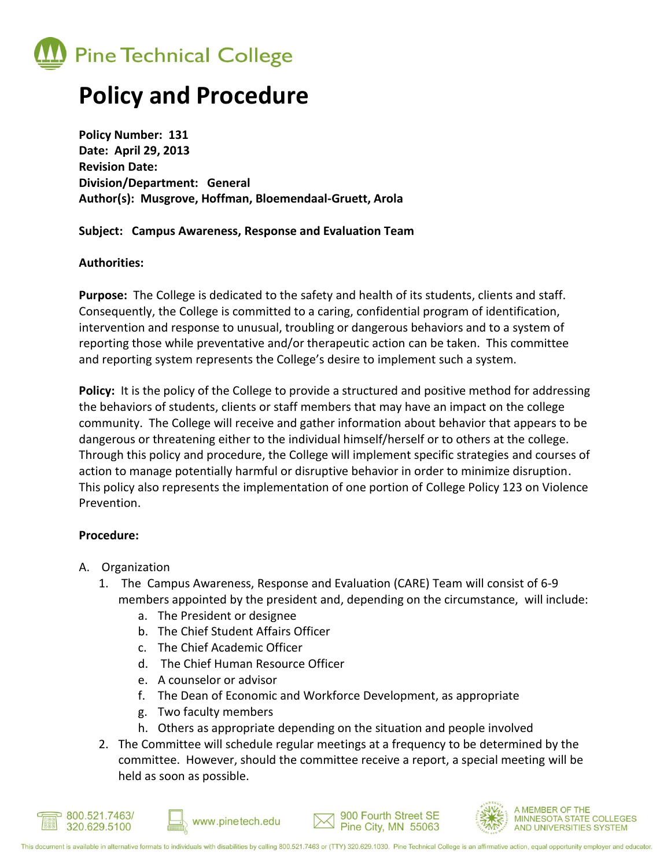

# **Policy and Procedure**

**Policy Number: 131 Date: April 29, 2013 Revision Date: Division/Department: General Author(s): Musgrove, Hoffman, Bloemendaal-Gruett, Arola**

### **Subject: Campus Awareness, Response and Evaluation Team**

### **Authorities:**

**Purpose:** The College is dedicated to the safety and health of its students, clients and staff. Consequently, the College is committed to a caring, confidential program of identification, intervention and response to unusual, troubling or dangerous behaviors and to a system of reporting those while preventative and/or therapeutic action can be taken. This committee and reporting system represents the College's desire to implement such a system.

**Policy:** It is the policy of the College to provide a structured and positive method for addressing the behaviors of students, clients or staff members that may have an impact on the college community. The College will receive and gather information about behavior that appears to be dangerous or threatening either to the individual himself/herself or to others at the college. Through this policy and procedure, the College will implement specific strategies and courses of action to manage potentially harmful or disruptive behavior in order to minimize disruption. This policy also represents the implementation of one portion of College Policy 123 on Violence Prevention.

# **Procedure:**

- A. Organization
	- 1. The Campus Awareness, Response and Evaluation (CARE) Team will consist of 6-9 members appointed by the president and, depending on the circumstance, will include:
		- a. The President or designee
		- b. The Chief Student Affairs Officer
		- c. The Chief Academic Officer
		- d. The Chief Human Resource Officer
		- e. A counselor or advisor
		- f. The Dean of Economic and Workforce Development, as appropriate
		- g. Two faculty members
		- h. Others as appropriate depending on the situation and people involved
	- 2. The Committee will schedule regular meetings at a frequency to be determined by the committee. However, should the committee receive a report, a special meeting will be held as soon as possible.







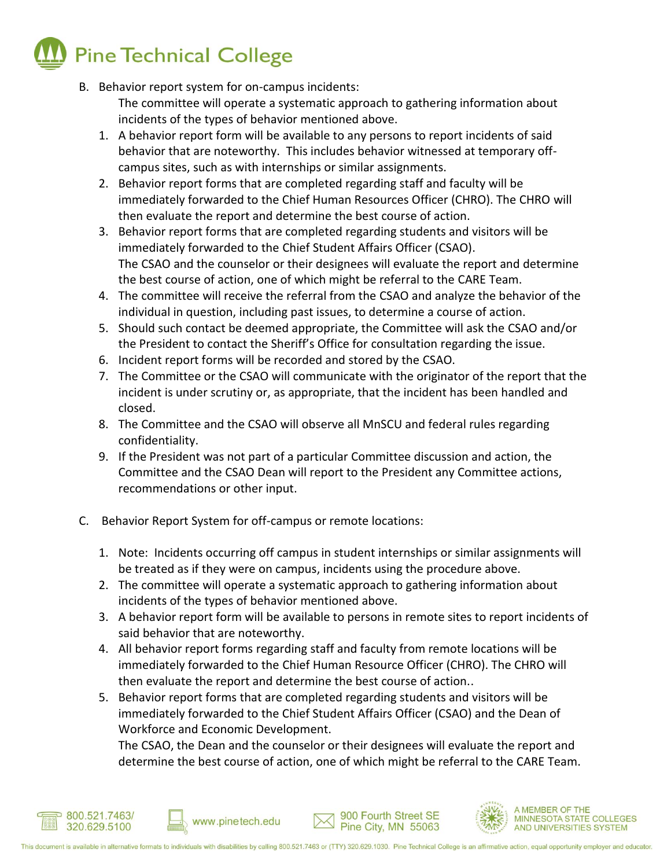

B. Behavior report system for on-campus incidents:

The committee will operate a systematic approach to gathering information about incidents of the types of behavior mentioned above.

- 1. A behavior report form will be available to any persons to report incidents of said behavior that are noteworthy. This includes behavior witnessed at temporary offcampus sites, such as with internships or similar assignments.
- 2. Behavior report forms that are completed regarding staff and faculty will be immediately forwarded to the Chief Human Resources Officer (CHRO). The CHRO will then evaluate the report and determine the best course of action.
- 3. Behavior report forms that are completed regarding students and visitors will be immediately forwarded to the Chief Student Affairs Officer (CSAO). The CSAO and the counselor or their designees will evaluate the report and determine the best course of action, one of which might be referral to the CARE Team.
- 4. The committee will receive the referral from the CSAO and analyze the behavior of the individual in question, including past issues, to determine a course of action.
- 5. Should such contact be deemed appropriate, the Committee will ask the CSAO and/or the President to contact the Sheriff's Office for consultation regarding the issue.
- 6. Incident report forms will be recorded and stored by the CSAO.
- 7. The Committee or the CSAO will communicate with the originator of the report that the incident is under scrutiny or, as appropriate, that the incident has been handled and closed.
- 8. The Committee and the CSAO will observe all MnSCU and federal rules regarding confidentiality.
- 9. If the President was not part of a particular Committee discussion and action, the Committee and the CSAO Dean will report to the President any Committee actions, recommendations or other input.
- C. Behavior Report System for off-campus or remote locations:

www.pinetech.edu

- 1. Note: Incidents occurring off campus in student internships or similar assignments will be treated as if they were on campus, incidents using the procedure above.
- 2. The committee will operate a systematic approach to gathering information about incidents of the types of behavior mentioned above.
- 3. A behavior report form will be available to persons in remote sites to report incidents of said behavior that are noteworthy.
- 4. All behavior report forms regarding staff and faculty from remote locations will be immediately forwarded to the Chief Human Resource Officer (CHRO). The CHRO will then evaluate the report and determine the best course of action..
- 5. Behavior report forms that are completed regarding students and visitors will be immediately forwarded to the Chief Student Affairs Officer (CSAO) and the Dean of Workforce and Economic Development.

The CSAO, the Dean and the counselor or their designees will evaluate the report and determine the best course of action, one of which might be referral to the CARE Team.